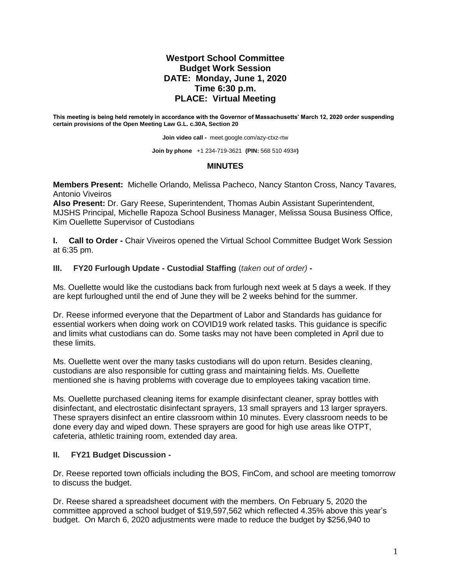## **Westport School Committee Budget Work Session DATE: Monday, June 1, 2020 Time 6:30 p.m. PLACE: Virtual Meeting**

**This meeting is being held remotely in accordance with the Governor of Massachusetts' March 12, 2020 order suspending certain provisions of the Open Meeting Law G.L. c.30A, Section 20**

**Join video call -** meet.google.com/azy-ctxz-rtw

**Join by phone** +1 234-719-3621 **(PIN:** 568 510 493#**)**

## **MINUTES**

**Members Present:** Michelle Orlando, Melissa Pacheco, Nancy Stanton Cross, Nancy Tavares*,*  Antonio Viveiros

**Also Present:** Dr. Gary Reese, Superintendent, Thomas Aubin Assistant Superintendent, MJSHS Principal, Michelle Rapoza School Business Manager, Melissa Sousa Business Office, Kim Ouellette Supervisor of Custodians

**I. Call to Order -** Chair Viveiros opened the Virtual School Committee Budget Work Session at 6:35 pm.

**III. FY20 Furlough Update - Custodial Staffing** (*taken out of order)* **-**

Ms. Ouellette would like the custodians back from furlough next week at 5 days a week. If they are kept furloughed until the end of June they will be 2 weeks behind for the summer.

Dr. Reese informed everyone that the Department of Labor and Standards has guidance for essential workers when doing work on COVID19 work related tasks. This guidance is specific and limits what custodians can do. Some tasks may not have been completed in April due to these limits.

Ms. Ouellette went over the many tasks custodians will do upon return. Besides cleaning, custodians are also responsible for cutting grass and maintaining fields. Ms. Ouellette mentioned she is having problems with coverage due to employees taking vacation time.

Ms. Ouellette purchased cleaning items for example disinfectant cleaner, spray bottles with disinfectant, and electrostatic disinfectant sprayers, 13 small sprayers and 13 larger sprayers. These sprayers disinfect an entire classroom within 10 minutes. Every classroom needs to be done every day and wiped down. These sprayers are good for high use areas like OTPT, cafeteria, athletic training room, extended day area.

## **II. FY21 Budget Discussion -**

Dr. Reese reported town officials including the BOS, FinCom, and school are meeting tomorrow to discuss the budget.

Dr. Reese shared a spreadsheet document with the members. On February 5, 2020 the committee approved a school budget of \$19,597,562 which reflected 4.35% above this year's budget. On March 6, 2020 adjustments were made to reduce the budget by \$256,940 to